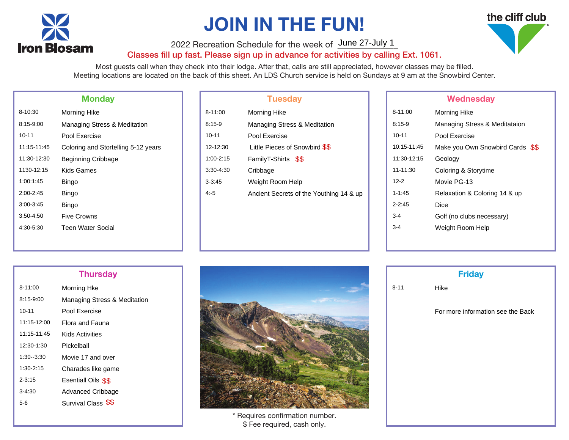

# JOIN IN THE FUN!

2022 Recreation Schedule for the week of June 27-July 1

### Classes fill up fast. Please sign up in advance for activities by calling Ext. 1061.

Most guests call when they check into their lodge. After that, calls are still appreciated, however classes may be filled. Meeting locations are located on the back of this sheet. An LDS Church service is held on Sundays at 9 am at the Snowbird Center.

|               | <b>Monday</b>                       |
|---------------|-------------------------------------|
| 8-10:30       | Morning Hike                        |
| 8:15-9:00     | Managing Stress & Meditation        |
| $10 - 11$     | Pool Exercise                       |
| 11:15 11:45   | Coloring and Stortelling 5-12 years |
| 11:30-12:30   | <b>Beginning Cribbage</b>           |
| 1130-12:15    | Kids Games                          |
| 1:00:1:45     | Bingo                               |
| $2:00 - 2:45$ | Bingo                               |
| $3:00 - 3:45$ | Bingo                               |
| $3:50 - 4:50$ | Five Crowns                         |
| 4.30-5.30     | <b>Teen Water Social</b>            |
|               |                                     |

|            | <b>Tuesday</b>                          |
|------------|-----------------------------------------|
| 3-11:00    | Morning Hike                            |
| $3:15-9$   | <b>Managing Stress &amp; Meditation</b> |
| 10-11      | Pool Exercise                           |
| 12-12:30   | Little Pieces of Snowbird \$\$          |
| 1:00-2:15  | FamilyT-Shirts \$\$                     |
| 3:30-4:30  | Cribbage                                |
| $3 - 3:45$ | Weight Room Help                        |
| 15         | Ancient Secrets of the Youthing 14 & up |
|            |                                         |
|            |                                         |

### Wednesday

| 8-10:30     | Morning Hike                        | $8 - 11:00$   | <b>Morning Hike</b>                     | 8-11:00     | Morning Hike                     |
|-------------|-------------------------------------|---------------|-----------------------------------------|-------------|----------------------------------|
| 8:15-9:00   | Managing Stress & Meditation        | $8:15-9$      | Managing Stress & Meditation            | $8:15-9$    | Managing Stress & Meditataion    |
| 10-11       | Pool Exercise                       | $10 - 11$     | Pool Exercise                           | $10 - 11$   | Pool Exercise                    |
| 11:15-11:45 | Coloring and Stortelling 5-12 years | 12-12:30      | Little Pieces of Snowbird \$\$          | 10:15-11:45 | Make you Own Snowbird Cards \$\$ |
| 11:30-12:30 | <b>Beginning Cribbage</b>           | $1:00 - 2:15$ | FamilyT-Shirts \$\$                     | 11:30-12:15 | Geology                          |
| 1130-12:15  | <b>Kids Games</b>                   | $3:30-4:30$   | Cribbage                                | 11-11:30    | Coloring & Storytime             |
| 1:00:1:45   | Bingo                               | $3 - 3:45$    | Weight Room Help                        | $12 - 2$    | Movie PG-13                      |
| 2:00-2:45   | Bingo                               | 4:5           | Ancient Secrets of the Youthing 14 & up | $1 - 1.45$  | Relaxation & Coloring 14 & up    |
| 3:00-3:45   | Bingo                               |               |                                         | $2 - 2:45$  | <b>Dice</b>                      |
| 3:50-4:50   | <b>Five Crowns</b>                  |               |                                         | $3 - 4$     | Golf (no clubs necessary)        |
| 4:30-5:30   | <b>Teen Water Social</b>            |               |                                         | $3 - 4$     | Weight Room Help                 |
|             |                                     |               |                                         |             |                                  |

| $8 - 11:00$   | Morning Hke                             |
|---------------|-----------------------------------------|
| 8:15-9:00     | <b>Managing Stress &amp; Meditation</b> |
| $10 - 11$     | Pool Exercise                           |
| 11:15-12:00   | Flora and Fauna                         |
| 11:15-11:45   | Kids Activities                         |
| 12:30-1:30    | Pickelball                              |
| $1:30 - 3:30$ | Movie 17 and over                       |
| 1:30-2:15     | Charades like game                      |
| $2 - 3.15$    | Esentiall Oils \$\$                     |
| $3-4.30$      | <b>Advanced Cribbage</b>                |
| 5-6           | Survival Class \$\$                     |



\* Requires confirmation number. \$ Fee required, cash only.

|          | <b>Friday</b>                    |
|----------|----------------------------------|
| $3 - 11$ | Hike                             |
|          | For more information see the Bad |
|          |                                  |
|          |                                  |
|          |                                  |
|          |                                  |

# the cliff club